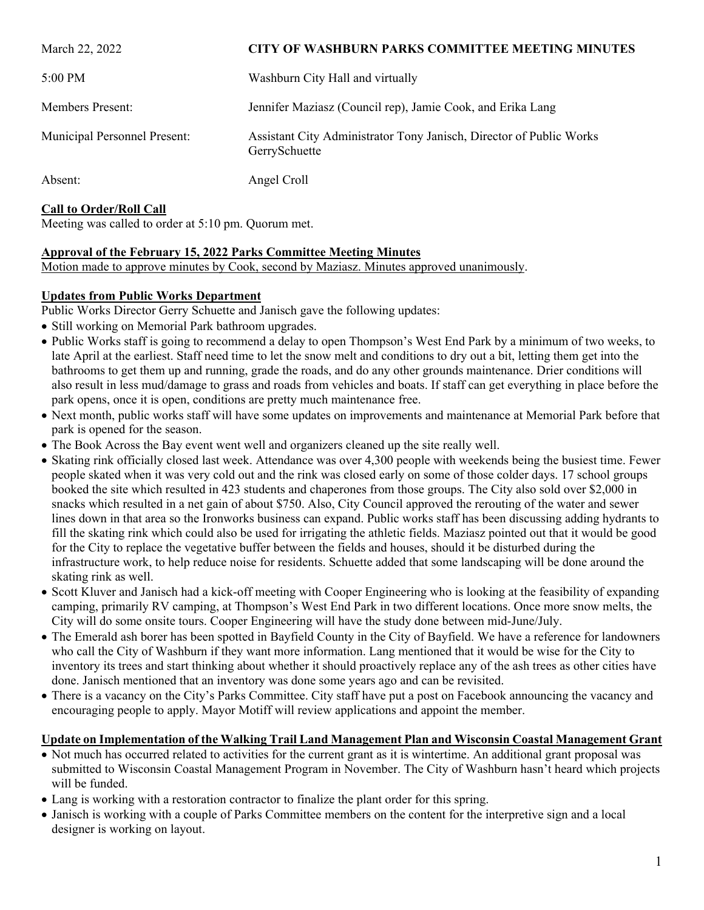| March 22, 2022               | <b>CITY OF WASHBURN PARKS COMMITTEE MEETING MINUTES</b>                              |
|------------------------------|--------------------------------------------------------------------------------------|
| 5:00 PM                      | Washburn City Hall and virtually                                                     |
| <b>Members Present:</b>      | Jennifer Maziasz (Council rep), Jamie Cook, and Erika Lang                           |
| Municipal Personnel Present: | Assistant City Administrator Tony Janisch, Director of Public Works<br>GerrySchuette |
| Absent:                      | Angel Croll                                                                          |

# **Call to Order/Roll Call**

Meeting was called to order at 5:10 pm. Quorum met.

## **Approval of the February 15, 2022 Parks Committee Meeting Minutes**

Motion made to approve minutes by Cook, second by Maziasz. Minutes approved unanimously.

### **Updates from Public Works Department**

Public Works Director Gerry Schuette and Janisch gave the following updates:

- Still working on Memorial Park bathroom upgrades.
- Public Works staff is going to recommend a delay to open Thompson's West End Park by a minimum of two weeks, to late April at the earliest. Staff need time to let the snow melt and conditions to dry out a bit, letting them get into the bathrooms to get them up and running, grade the roads, and do any other grounds maintenance. Drier conditions will also result in less mud/damage to grass and roads from vehicles and boats. If staff can get everything in place before the park opens, once it is open, conditions are pretty much maintenance free.
- Next month, public works staff will have some updates on improvements and maintenance at Memorial Park before that park is opened for the season.
- The Book Across the Bay event went well and organizers cleaned up the site really well.
- Skating rink officially closed last week. Attendance was over 4,300 people with weekends being the busiest time. Fewer people skated when it was very cold out and the rink was closed early on some of those colder days. 17 school groups booked the site which resulted in 423 students and chaperones from those groups. The City also sold over \$2,000 in snacks which resulted in a net gain of about \$750. Also, City Council approved the rerouting of the water and sewer lines down in that area so the Ironworks business can expand. Public works staff has been discussing adding hydrants to fill the skating rink which could also be used for irrigating the athletic fields. Maziasz pointed out that it would be good for the City to replace the vegetative buffer between the fields and houses, should it be disturbed during the infrastructure work, to help reduce noise for residents. Schuette added that some landscaping will be done around the skating rink as well.
- Scott Kluver and Janisch had a kick-off meeting with Cooper Engineering who is looking at the feasibility of expanding camping, primarily RV camping, at Thompson's West End Park in two different locations. Once more snow melts, the City will do some onsite tours. Cooper Engineering will have the study done between mid-June/July.
- The Emerald ash borer has been spotted in Bayfield County in the City of Bayfield. We have a reference for landowners who call the City of Washburn if they want more information. Lang mentioned that it would be wise for the City to inventory its trees and start thinking about whether it should proactively replace any of the ash trees as other cities have done. Janisch mentioned that an inventory was done some years ago and can be revisited.
- There is a vacancy on the City's Parks Committee. City staff have put a post on Facebook announcing the vacancy and encouraging people to apply. Mayor Motiff will review applications and appoint the member.

# **Update on Implementation of the Walking Trail Land Management Plan and Wisconsin Coastal Management Grant**

- Not much has occurred related to activities for the current grant as it is wintertime. An additional grant proposal was submitted to Wisconsin Coastal Management Program in November. The City of Washburn hasn't heard which projects will be funded.
- Lang is working with a restoration contractor to finalize the plant order for this spring.
- Janisch is working with a couple of Parks Committee members on the content for the interpretive sign and a local designer is working on layout.